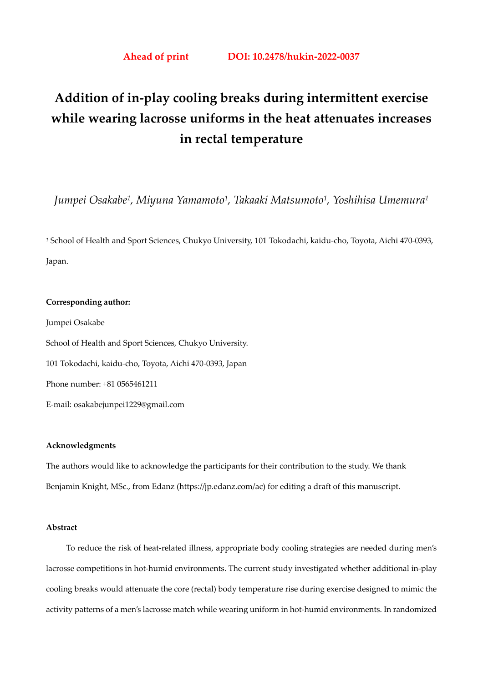# **Addition of in-play cooling breaks during intermittent exercise while wearing lacrosse uniforms in the heat attenuates increases in rectal temperature**

*Jumpei Osakabe1, Miyuna Yamamoto1, Takaaki Matsumoto1, Yoshihisa Umemura1*

*<sup>1</sup>* School of Health and Sport Sciences, Chukyo University, 101 Tokodachi, kaidu-cho, Toyota, Aichi 470-0393, Japan.

### **Corresponding author:**

Jumpei Osakabe School of Health and Sport Sciences, Chukyo University. 101 Tokodachi, kaidu-cho, Toyota, Aichi 470-0393, Japan Phone number: +81 0565461211 E-mail: osakabejunpei1229@gmail.com

#### **Acknowledgments**

The authors would like to acknowledge the participants for their contribution to the study. We thank Benjamin Knight, MSc., from Edanz (https://jp.edanz.com/ac) for editing a draft of this manuscript.

# **Abstract**

To reduce the risk of heat-related illness, appropriate body cooling strategies are needed during men's lacrosse competitions in hot-humid environments. The current study investigated whether additional in-play cooling breaks would attenuate the core (rectal) body temperature rise during exercise designed to mimic the activity patterns of a men's lacrosse match while wearing uniform in hot-humid environments. In randomized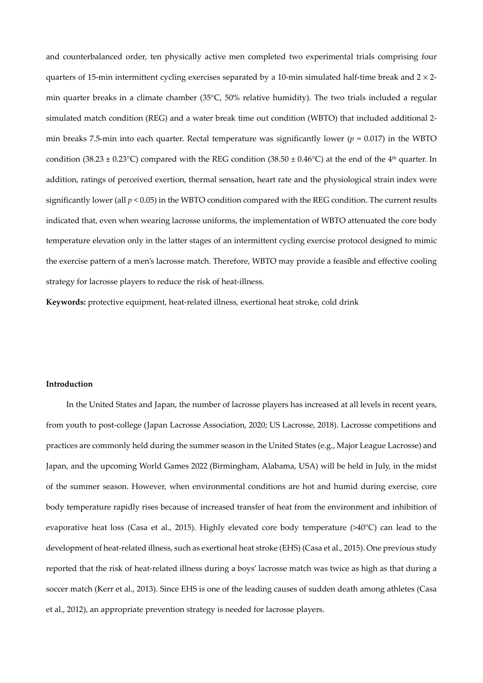and counterbalanced order, ten physically active men completed two experimental trials comprising four quarters of 15-min intermittent cycling exercises separated by a 10-min simulated half-time break and  $2 \times 2$ min quarter breaks in a climate chamber (35°C, 50% relative humidity). The two trials included a regular simulated match condition (REG) and a water break time out condition (WBTO) that included additional 2 min breaks 7.5-min into each quarter. Rectal temperature was significantly lower ( $p = 0.017$ ) in the WBTO condition (38.23  $\pm$  0.23°C) compared with the REG condition (38.50  $\pm$  0.46°C) at the end of the 4<sup>th</sup> quarter. In addition, ratings of perceived exertion, thermal sensation, heart rate and the physiological strain index were significantly lower (all *p* < 0.05) in the WBTO condition compared with the REG condition. The current results indicated that, even when wearing lacrosse uniforms, the implementation of WBTO attenuated the core body temperature elevation only in the latter stages of an intermittent cycling exercise protocol designed to mimic the exercise pattern of a men's lacrosse match. Therefore, WBTO may provide a feasible and effective cooling strategy for lacrosse players to reduce the risk of heat-illness.

**Keywords:** protective equipment, heat-related illness, exertional heat stroke, cold drink

### **Introduction**

In the United States and Japan, the number of lacrosse players has increased at all levels in recent years, from youth to post-college (Japan Lacrosse Association, 2020; US Lacrosse, 2018). Lacrosse competitions and practices are commonly held during the summer season in the United States (e.g., Major League Lacrosse) and Japan, and the upcoming World Games 2022 (Birmingham, Alabama, USA) will be held in July, in the midst of the summer season. However, when environmental conditions are hot and humid during exercise, core body temperature rapidly rises because of increased transfer of heat from the environment and inhibition of evaporative heat loss (Casa et al., 2015). Highly elevated core body temperature (>40°C) can lead to the development of heat-related illness, such as exertional heat stroke (EHS) (Casa et al., 2015). One previous study reported that the risk of heat-related illness during a boys' lacrosse match was twice as high as that during a soccer match (Kerr et al., 2013). Since EHS is one of the leading causes of sudden death among athletes (Casa et al., 2012), an appropriate prevention strategy is needed for lacrosse players.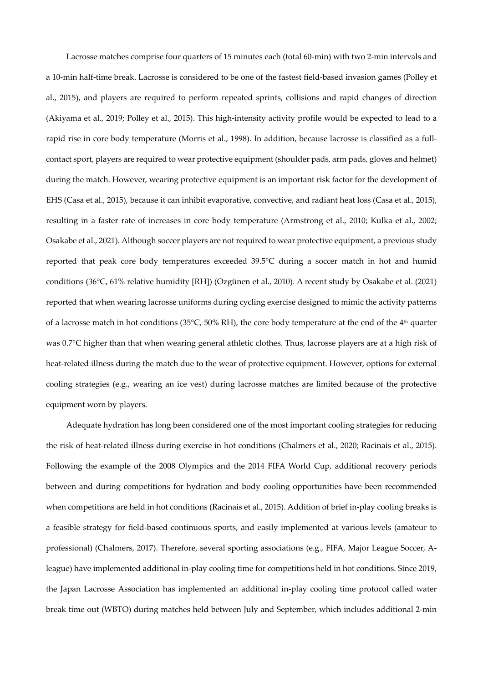Lacrosse matches comprise four quarters of 15 minutes each (total 60-min) with two 2-min intervals and a 10-min half-time break. Lacrosse is considered to be one of the fastest field-based invasion games (Polley et al., 2015), and players are required to perform repeated sprints, collisions and rapid changes of direction (Akiyama et al., 2019; Polley et al., 2015). This high-intensity activity profile would be expected to lead to a rapid rise in core body temperature (Morris et al., 1998). In addition, because lacrosse is classified as a fullcontact sport, players are required to wear protective equipment (shoulder pads, arm pads, gloves and helmet) during the match. However, wearing protective equipment is an important risk factor for the development of EHS (Casa et al., 2015), because it can inhibit evaporative, convective, and radiant heat loss (Casa et al., 2015), resulting in a faster rate of increases in core body temperature (Armstrong et al., 2010; Kulka et al., 2002; Osakabe et al., 2021). Although soccer players are not required to wear protective equipment, a previous study reported that peak core body temperatures exceeded 39.5°C during a soccer match in hot and humid conditions (36°C, 61% relative humidity [RH]) (Ozgünen et al., 2010). A recent study by Osakabe et al. (2021) reported that when wearing lacrosse uniforms during cycling exercise designed to mimic the activity patterns of a lacrosse match in hot conditions (35 $^{\circ}$ C, 50% RH), the core body temperature at the end of the 4<sup>th</sup> quarter was 0.7°C higher than that when wearing general athletic clothes. Thus, lacrosse players are at a high risk of heat-related illness during the match due to the wear of protective equipment. However, options for external cooling strategies (e.g., wearing an ice vest) during lacrosse matches are limited because of the protective equipment worn by players.

Adequate hydration has long been considered one of the most important cooling strategies for reducing the risk of heat-related illness during exercise in hot conditions (Chalmers et al., 2020; Racinais et al., 2015). Following the example of the 2008 Olympics and the 2014 FIFA World Cup, additional recovery periods between and during competitions for hydration and body cooling opportunities have been recommended when competitions are held in hot conditions (Racinais et al., 2015). Addition of brief in-play cooling breaks is a feasible strategy for field-based continuous sports, and easily implemented at various levels (amateur to professional) (Chalmers, 2017). Therefore, several sporting associations (e.g., FIFA, Major League Soccer, Aleague) have implemented additional in-play cooling time for competitions held in hot conditions. Since 2019, the Japan Lacrosse Association has implemented an additional in-play cooling time protocol called water break time out (WBTO) during matches held between July and September, which includes additional 2-min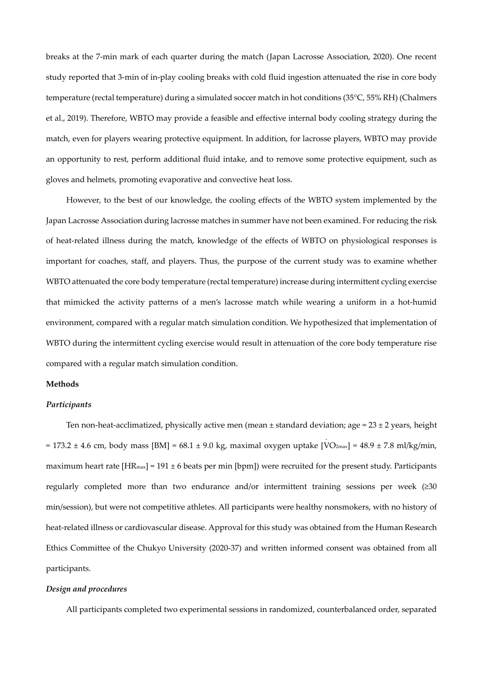breaks at the 7-min mark of each quarter during the match (Japan Lacrosse Association, 2020). One recent study reported that 3-min of in-play cooling breaks with cold fluid ingestion attenuated the rise in core body temperature (rectal temperature) during a simulated soccer match in hot conditions (35°C, 55% RH) (Chalmers et al., 2019). Therefore, WBTO may provide a feasible and effective internal body cooling strategy during the match, even for players wearing protective equipment. In addition, for lacrosse players, WBTO may provide an opportunity to rest, perform additional fluid intake, and to remove some protective equipment, such as gloves and helmets, promoting evaporative and convective heat loss.

However, to the best of our knowledge, the cooling effects of the WBTO system implemented by the Japan Lacrosse Association during lacrosse matches in summer have not been examined. For reducing the risk of heat-related illness during the match, knowledge of the effects of WBTO on physiological responses is important for coaches, staff, and players. Thus, the purpose of the current study was to examine whether WBTO attenuated the core body temperature (rectal temperature) increase during intermittent cycling exercise that mimicked the activity patterns of a men's lacrosse match while wearing a uniform in a hot-humid environment, compared with a regular match simulation condition. We hypothesized that implementation of WBTO during the intermittent cycling exercise would result in attenuation of the core body temperature rise compared with a regular match simulation condition.

#### **Methods**

### *Participants*

Ten non-heat-acclimatized, physically active men (mean  $\pm$  standard deviation; age = 23  $\pm$  2 years, height = 173.2 ± 4.6 cm, body mass [BM] = 68.1 ± 9.0 kg, maximal oxygen uptake [V .  $[O_{2max}] = 48.9 \pm 7.8 \text{ ml/kg/min}$ , maximum heart rate  $[\text{HR}_{\text{max}}] = 191 \pm 6$  beats per min [bpm]) were recruited for the present study. Participants regularly completed more than two endurance and/or intermittent training sessions per week (≥30 min/session), but were not competitive athletes. All participants were healthy nonsmokers, with no history of heat-related illness or cardiovascular disease. Approval for this study was obtained from the Human Research Ethics Committee of the Chukyo University (2020-37) and written informed consent was obtained from all participants.

#### *Design and procedures*

All participants completed two experimental sessions in randomized, counterbalanced order, separated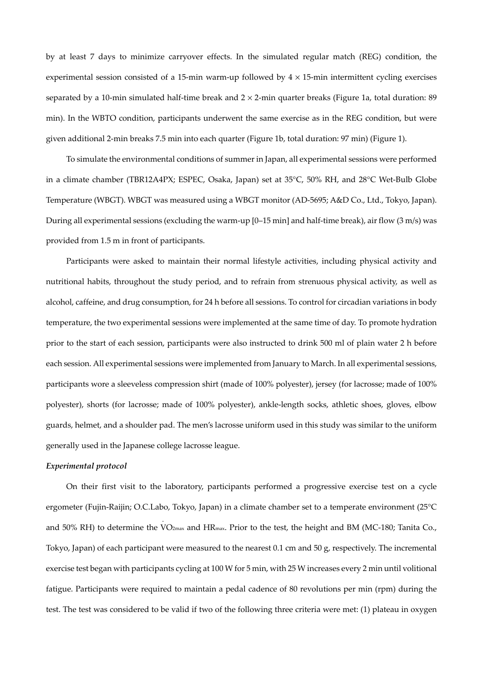by at least 7 days to minimize carryover effects. In the simulated regular match (REG) condition, the experimental session consisted of a 15-min warm-up followed by  $4 \times 15$ -min intermittent cycling exercises separated by a 10-min simulated half-time break and  $2 \times 2$ -min quarter breaks (Figure 1a, total duration: 89 min). In the WBTO condition, participants underwent the same exercise as in the REG condition, but were given additional 2-min breaks 7.5 min into each quarter (Figure 1b, total duration: 97 min) (Figure 1).

To simulate the environmental conditions of summer in Japan, all experimental sessions were performed in a climate chamber (TBR12A4PX; ESPEC, Osaka, Japan) set at 35°C, 50% RH, and 28°C Wet-Bulb Globe Temperature (WBGT). WBGT was measured using a WBGT monitor (AD-5695; A&D Co., Ltd., Tokyo, Japan). During all experimental sessions (excluding the warm-up [0–15 min] and half-time break), air flow (3 m/s) was provided from 1.5 m in front of participants.

Participants were asked to maintain their normal lifestyle activities, including physical activity and nutritional habits, throughout the study period, and to refrain from strenuous physical activity, as well as alcohol, caffeine, and drug consumption, for 24 h before all sessions. To control for circadian variations in body temperature, the two experimental sessions were implemented at the same time of day. To promote hydration prior to the start of each session, participants were also instructed to drink 500 ml of plain water 2 h before each session. All experimental sessions were implemented from January to March. In all experimental sessions, participants wore a sleeveless compression shirt (made of 100% polyester), jersey (for lacrosse; made of 100% polyester), shorts (for lacrosse; made of 100% polyester), ankle-length socks, athletic shoes, gloves, elbow guards, helmet, and a shoulder pad. The men's lacrosse uniform used in this study was similar to the uniform generally used in the Japanese college lacrosse league.

#### *Experimental protocol*

On their first visit to the laboratory, participants performed a progressive exercise test on a cycle ergometer (Fujin-Raijin; O.C.Labo, Tokyo, Japan) in a climate chamber set to a temperate environment (25°C and 50% RH) to determine the V . O2max and HRmax. Prior to the test, the height and BM (MC-180; Tanita Co., Tokyo, Japan) of each participant were measured to the nearest 0.1 cm and 50 g, respectively. The incremental exercise test began with participants cycling at 100 W for 5 min, with 25 W increases every 2 min until volitional fatigue. Participants were required to maintain a pedal cadence of 80 revolutions per min (rpm) during the test. The test was considered to be valid if two of the following three criteria were met: (1) plateau in oxygen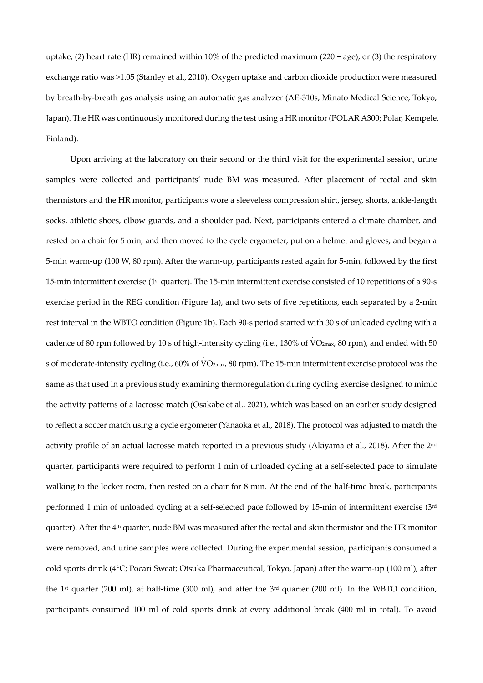uptake, (2) heart rate (HR) remained within 10% of the predicted maximum (220 − age), or (3) the respiratory exchange ratio was >1.05 (Stanley et al., 2010). Oxygen uptake and carbon dioxide production were measured by breath-by-breath gas analysis using an automatic gas analyzer (AE-310s; Minato Medical Science, Tokyo, Japan). The HR was continuously monitored during the test using a HR monitor (POLAR A300; Polar, Kempele, Finland).

Upon arriving at the laboratory on their second or the third visit for the experimental session, urine samples were collected and participants' nude BM was measured. After placement of rectal and skin thermistors and the HR monitor, participants wore a sleeveless compression shirt, jersey, shorts, ankle-length socks, athletic shoes, elbow guards, and a shoulder pad. Next, participants entered a climate chamber, and rested on a chair for 5 min, and then moved to the cycle ergometer, put on a helmet and gloves, and began a 5-min warm-up (100 W, 80 rpm). After the warm-up, participants rested again for 5-min, followed by the first 15-min intermittent exercise (1st quarter). The 15-min intermittent exercise consisted of 10 repetitions of a 90-s exercise period in the REG condition (Figure 1a), and two sets of five repetitions, each separated by a 2-min rest interval in the WBTO condition (Figure 1b). Each 90-s period started with 30 s of unloaded cycling with a cadence of 80 rpm followed by 10 s of high-intensity cycling (i.e., 130% of V . O2max, 80 rpm), and ended with 50 s of moderate-intensity cycling (i.e., 60% of V O2max, 80 rpm). The 15-min intermittent exercise protocol was the . same as that used in a previous study examining thermoregulation during cycling exercise designed to mimic the activity patterns of a lacrosse match (Osakabe et al., 2021), which was based on an earlier study designed to reflect a soccer match using a cycle ergometer (Yanaoka et al., 2018). The protocol was adjusted to match the activity profile of an actual lacrosse match reported in a previous study (Akiyama et al., 2018). After the 2<sup>nd</sup> quarter, participants were required to perform 1 min of unloaded cycling at a self-selected pace to simulate walking to the locker room, then rested on a chair for 8 min. At the end of the half-time break, participants performed 1 min of unloaded cycling at a self-selected pace followed by 15-min of intermittent exercise (3rd quarter). After the 4th quarter, nude BM was measured after the rectal and skin thermistor and the HR monitor were removed, and urine samples were collected. During the experimental session, participants consumed a cold sports drink (4°C; Pocari Sweat; Otsuka Pharmaceutical, Tokyo, Japan) after the warm-up (100 ml), after the 1st quarter (200 ml), at half-time (300 ml), and after the 3rd quarter (200 ml). In the WBTO condition, participants consumed 100 ml of cold sports drink at every additional break (400 ml in total). To avoid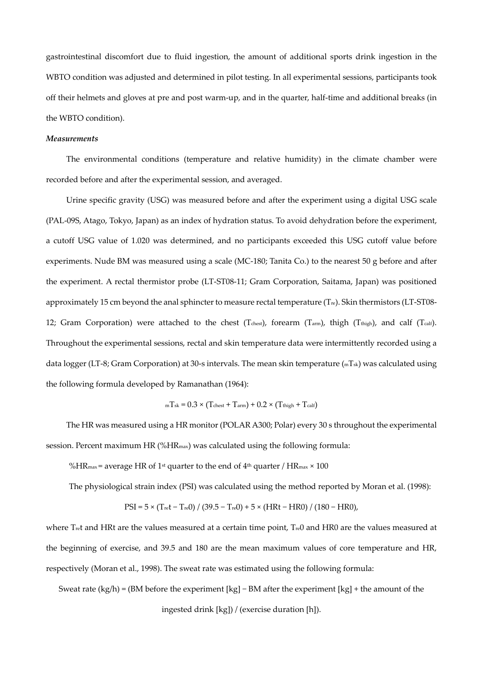gastrointestinal discomfort due to fluid ingestion, the amount of additional sports drink ingestion in the WBTO condition was adjusted and determined in pilot testing. In all experimental sessions, participants took off their helmets and gloves at pre and post warm-up, and in the quarter, half-time and additional breaks (in the WBTO condition).

#### *Measurements*

The environmental conditions (temperature and relative humidity) in the climate chamber were recorded before and after the experimental session, and averaged.

Urine specific gravity (USG) was measured before and after the experiment using a digital USG scale (PAL-09S, Atago, Tokyo, Japan) as an index of hydration status. To avoid dehydration before the experiment, a cutoff USG value of 1.020 was determined, and no participants exceeded this USG cutoff value before experiments. Nude BM was measured using a scale (MC-180; Tanita Co.) to the nearest 50 g before and after the experiment. A rectal thermistor probe (LT-ST08-11; Gram Corporation, Saitama, Japan) was positioned approximately 15 cm beyond the anal sphincter to measure rectal temperature (Tre). Skin thermistors (LT-ST08- 12; Gram Corporation) were attached to the chest  $(T_{\text{check}})$ , forearm  $(T_{\text{arm}})$ , thigh  $(T_{\text{thigh}})$ , and calf  $(T_{\text{calf}})$ . Throughout the experimental sessions, rectal and skin temperature data were intermittently recorded using a data logger (LT-8; Gram Corporation) at 30-s intervals. The mean skin temperature (mTsk) was calculated using the following formula developed by Ramanathan (1964):

$$
_{\rm m}T_{\rm sk}=0.3\times(T_{\rm chest}+T_{\rm arm})+0.2\times(T_{\rm thigh}+T_{\rm calf})
$$

The HR was measured using a HR monitor (POLAR A300; Polar) every 30 s throughout the experimental session. Percent maximum HR (%HRmax) was calculated using the following formula:

%HR<sub>max</sub> = average HR of 1<sup>st</sup> quarter to the end of  $4<sup>th</sup>$  quarter / HR<sub>max</sub>  $\times$  100

The physiological strain index (PSI) was calculated using the method reported by Moran et al. (1998):

$$
PSI = 5 \times (T_{\text{ref}} - T_{\text{ref}}) / (39.5 - T_{\text{ref}}) + 5 \times (HRt - HR0) / (180 - HR0),
$$

where Tret and HRt are the values measured at a certain time point, Tre0 and HR0 are the values measured at the beginning of exercise, and 39.5 and 180 are the mean maximum values of core temperature and HR, respectively (Moran et al., 1998). The sweat rate was estimated using the following formula:

Sweat rate (kg/h) = (BM before the experiment [kg] − BM after the experiment [kg] + the amount of the

ingested drink [kg]) / (exercise duration [h]).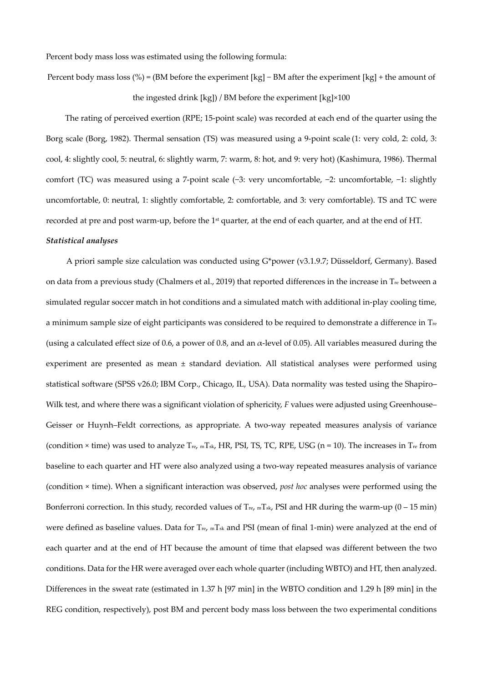Percent body mass loss was estimated using the following formula:

Percent body mass loss (%) = (BM before the experiment [kg] − BM after the experiment [kg] + the amount of the ingested drink [kg]) / BM before the experiment [kg]×100

The rating of perceived exertion (RPE; 15-point scale) was recorded at each end of the quarter using the Borg scale (Borg, 1982). Thermal sensation (TS) was measured using a 9-point scale (1: very cold, 2: cold, 3: cool, 4: slightly cool, 5: neutral, 6: slightly warm, 7: warm, 8: hot, and 9: very hot) (Kashimura, 1986). Thermal comfort (TC) was measured using a 7-point scale (−3: very uncomfortable, −2: uncomfortable, −1: slightly uncomfortable, 0: neutral, 1: slightly comfortable, 2: comfortable, and 3: very comfortable). TS and TC were recorded at pre and post warm-up, before the 1<sup>st</sup> quarter, at the end of each quarter, and at the end of HT.

# *Statistical analyses*

A priori sample size calculation was conducted using G\*power (v3.1.9.7; Düsseldorf, Germany). Based on data from a previous study (Chalmers et al., 2019) that reported differences in the increase in  $T_{re}$  between a simulated regular soccer match in hot conditions and a simulated match with additional in-play cooling time, a minimum sample size of eight participants was considered to be required to demonstrate a difference in  $T_{re}$ (using a calculated effect size of 0.6, a power of 0.8, and an  $\alpha$ -level of 0.05). All variables measured during the experiment are presented as mean ± standard deviation. All statistical analyses were performed using statistical software (SPSS v26.0; IBM Corp., Chicago, IL, USA). Data normality was tested using the Shapiro– Wilk test, and where there was a significant violation of sphericity, *F* values were adjusted using Greenhouse– Geisser or Huynh–Feldt corrections, as appropriate. A two-way repeated measures analysis of variance (condition  $\times$  time) was used to analyze  $T_{\text{re}}$ ,  $_{\text{m}}T_{\text{sk}}$ , HR, PSI, TS, TC, RPE, USG (n = 10). The increases in  $T_{\text{re}}$  from baseline to each quarter and HT were also analyzed using a two-way repeated measures analysis of variance (condition × time). When a significant interaction was observed, *post hoc* analyses were performed using the Bonferroni correction. In this study, recorded values of  $T_{re}$ ,  $mT_{sk}$ , PSI and HR during the warm-up (0 – 15 min) were defined as baseline values. Data for Tre, mTsk and PSI (mean of final 1-min) were analyzed at the end of each quarter and at the end of HT because the amount of time that elapsed was different between the two conditions. Data for the HR were averaged over each whole quarter (including WBTO) and HT, then analyzed. Differences in the sweat rate (estimated in 1.37 h [97 min] in the WBTO condition and 1.29 h [89 min] in the REG condition, respectively), post BM and percent body mass loss between the two experimental conditions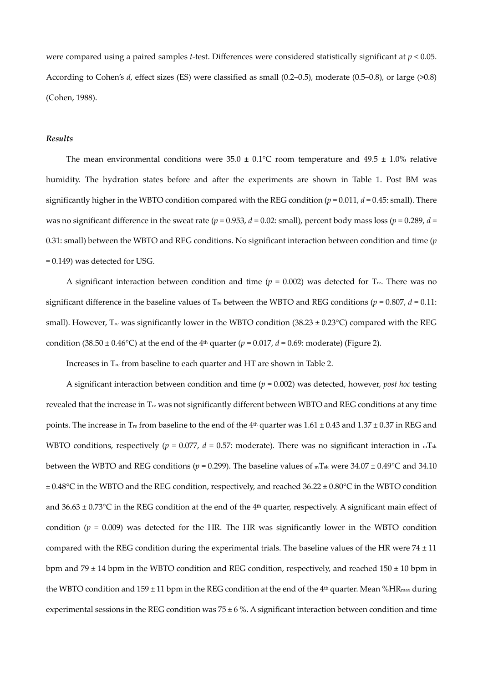were compared using a paired samples *t*-test. Differences were considered statistically significant at *p* < 0.05. According to Cohen's *d*, effect sizes (ES) were classified as small (0.2–0.5), moderate (0.5–0.8), or large (>0.8) (Cohen, 1988).

#### *Results*

The mean environmental conditions were  $35.0 \pm 0.1^{\circ}$ C room temperature and  $49.5 \pm 1.0\%$  relative humidity. The hydration states before and after the experiments are shown in Table 1. Post BM was significantly higher in the WBTO condition compared with the REG condition  $(p = 0.011, d = 0.45$ : small). There was no significant difference in the sweat rate ( $p = 0.953$ ,  $d = 0.02$ : small), percent body mass loss ( $p = 0.289$ ,  $d =$ 0.31: small) between the WBTO and REG conditions. No significant interaction between condition and time (*p* = 0.149) was detected for USG.

A significant interaction between condition and time ( $p = 0.002$ ) was detected for T<sub>re</sub>. There was no significant difference in the baseline values of T<sub>re</sub> between the WBTO and REG conditions ( $p = 0.807$ ,  $d = 0.11$ : small). However, T<sub>re</sub> was significantly lower in the WBTO condition (38.23  $\pm$  0.23 $\degree$ C) compared with the REG condition (38.50  $\pm$  0.46°C) at the end of the 4<sup>th</sup> quarter (*p* = 0.017, *d* = 0.69: moderate) (Figure 2).

Increases in Tre from baseline to each quarter and HT are shown in Table 2.

A significant interaction between condition and time  $(p = 0.002)$  was detected, however, *post hoc* testing revealed that the increase in Tre was not significantly different between WBTO and REG conditions at any time points. The increase in T<sub>re</sub> from baseline to the end of the 4<sup>th</sup> quarter was 1.61  $\pm$  0.43 and 1.37  $\pm$  0.37 in REG and WBTO conditions, respectively ( $p = 0.077$ ,  $d = 0.57$ : moderate). There was no significant interaction in  $mT_{sk}$ between the WBTO and REG conditions ( $p = 0.299$ ). The baseline values of  $mT_{sk}$  were  $34.07 \pm 0.49$ °C and  $34.10$  $\pm 0.48$ °C in the WBTO and the REG condition, respectively, and reached 36.22  $\pm 0.80$ °C in the WBTO condition and  $36.63 \pm 0.73$ °C in the REG condition at the end of the 4<sup>th</sup> quarter, respectively. A significant main effect of condition ( $p = 0.009$ ) was detected for the HR. The HR was significantly lower in the WBTO condition compared with the REG condition during the experimental trials. The baseline values of the HR were  $74 \pm 11$ bpm and 79  $\pm$  14 bpm in the WBTO condition and REG condition, respectively, and reached 150  $\pm$  10 bpm in the WBTO condition and  $159 \pm 11$  bpm in the REG condition at the end of the 4<sup>th</sup> quarter. Mean %HR<sub>max</sub> during experimental sessions in the REG condition was  $75 \pm 6$ %. A significant interaction between condition and time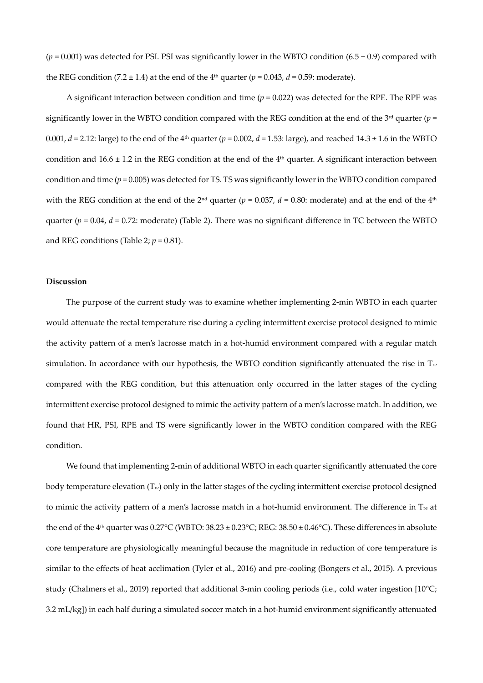$(p = 0.001)$  was detected for PSI. PSI was significantly lower in the WBTO condition  $(6.5 \pm 0.9)$  compared with the REG condition (7.2  $\pm$  1.4) at the end of the 4<sup>th</sup> quarter ( $p = 0.043$ ,  $d = 0.59$ : moderate).

A significant interaction between condition and time  $(p = 0.022)$  was detected for the RPE. The RPE was significantly lower in the WBTO condition compared with the REG condition at the end of the 3<sup>rd</sup> quarter ( $p =$ 0.001,  $d = 2.12$ : large) to the end of the 4<sup>th</sup> quarter ( $p = 0.002$ ,  $d = 1.53$ : large), and reached 14.3  $\pm$  1.6 in the WBTO condition and  $16.6 \pm 1.2$  in the REG condition at the end of the  $4<sup>th</sup>$  quarter. A significant interaction between condition and time (*p* = 0.005) was detected for TS. TS was significantly lower in the WBTO condition compared with the REG condition at the end of the 2<sup>nd</sup> quarter ( $p = 0.037$ ,  $d = 0.80$ : moderate) and at the end of the 4<sup>th</sup> quarter ( $p = 0.04$ ,  $d = 0.72$ : moderate) (Table 2). There was no significant difference in TC between the WBTO and REG conditions (Table 2;  $p = 0.81$ ).

#### **Discussion**

The purpose of the current study was to examine whether implementing 2-min WBTO in each quarter would attenuate the rectal temperature rise during a cycling intermittent exercise protocol designed to mimic the activity pattern of a men's lacrosse match in a hot-humid environment compared with a regular match simulation. In accordance with our hypothesis, the WBTO condition significantly attenuated the rise in Tre compared with the REG condition, but this attenuation only occurred in the latter stages of the cycling intermittent exercise protocol designed to mimic the activity pattern of a men's lacrosse match. In addition, we found that HR, PSI, RPE and TS were significantly lower in the WBTO condition compared with the REG condition.

We found that implementing 2-min of additional WBTO in each quarter significantly attenuated the core body temperature elevation (Tre) only in the latter stages of the cycling intermittent exercise protocol designed to mimic the activity pattern of a men's lacrosse match in a hot-humid environment. The difference in Tre at the end of the 4<sup>th</sup> quarter was  $0.27^{\circ}$ C (WBTO:  $38.23 \pm 0.23^{\circ}$ C; REG:  $38.50 \pm 0.46^{\circ}$ C). These differences in absolute core temperature are physiologically meaningful because the magnitude in reduction of core temperature is similar to the effects of heat acclimation (Tyler et al., 2016) and pre-cooling (Bongers et al., 2015). A previous study (Chalmers et al., 2019) reported that additional 3-min cooling periods (i.e., cold water ingestion [10°C; 3.2 mL/kg]) in each half during a simulated soccer match in a hot-humid environment significantly attenuated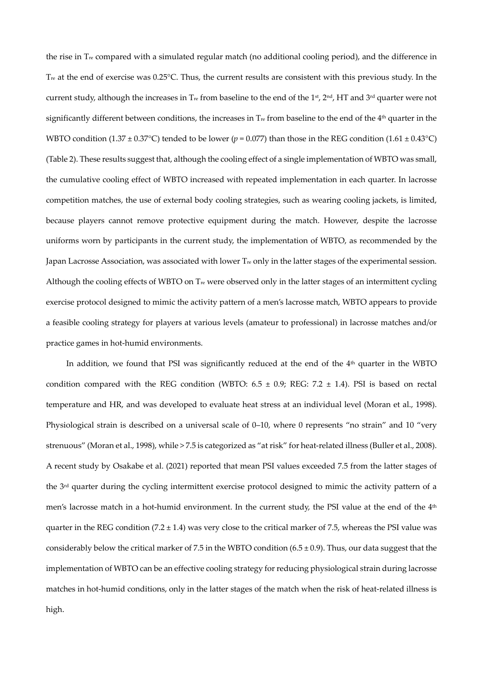the rise in  $T_{\text{re}}$  compared with a simulated regular match (no additional cooling period), and the difference in Tre at the end of exercise was 0.25°C. Thus, the current results are consistent with this previous study. In the current study, although the increases in T<sub>re</sub> from baseline to the end of the 1<sup>st</sup>, 2<sup>nd</sup>, HT and 3<sup>rd</sup> quarter were not significantly different between conditions, the increases in  $T_{\text{re}}$  from baseline to the end of the  $4<sup>th</sup>$  quarter in the WBTO condition (1.37  $\pm$  0.37°C) tended to be lower ( $p = 0.077$ ) than those in the REG condition (1.61  $\pm$  0.43°C) (Table 2). These results suggest that, although the cooling effect of a single implementation of WBTO was small, the cumulative cooling effect of WBTO increased with repeated implementation in each quarter. In lacrosse competition matches, the use of external body cooling strategies, such as wearing cooling jackets, is limited, because players cannot remove protective equipment during the match. However, despite the lacrosse uniforms worn by participants in the current study, the implementation of WBTO, as recommended by the Japan Lacrosse Association, was associated with lower Tre only in the latter stages of the experimental session. Although the cooling effects of WBTO on  $T_{re}$  were observed only in the latter stages of an intermittent cycling exercise protocol designed to mimic the activity pattern of a men's lacrosse match, WBTO appears to provide a feasible cooling strategy for players at various levels (amateur to professional) in lacrosse matches and/or practice games in hot-humid environments.

In addition, we found that PSI was significantly reduced at the end of the 4<sup>th</sup> quarter in the WBTO condition compared with the REG condition (WBTO:  $6.5 \pm 0.9$ ; REG:  $7.2 \pm 1.4$ ). PSI is based on rectal temperature and HR, and was developed to evaluate heat stress at an individual level (Moran et al., 1998). Physiological strain is described on a universal scale of 0–10, where 0 represents "no strain" and 10 "very strenuous" (Moran et al., 1998), while > 7.5 is categorized as "at risk" for heat-related illness (Buller et al., 2008). A recent study by Osakabe et al. (2021) reported that mean PSI values exceeded 7.5 from the latter stages of the 3rd quarter during the cycling intermittent exercise protocol designed to mimic the activity pattern of a men's lacrosse match in a hot-humid environment. In the current study, the PSI value at the end of the 4<sup>th</sup> quarter in the REG condition (7.2  $\pm$  1.4) was very close to the critical marker of 7.5, whereas the PSI value was considerably below the critical marker of 7.5 in the WBTO condition  $(6.5 \pm 0.9)$ . Thus, our data suggest that the implementation of WBTO can be an effective cooling strategy for reducing physiological strain during lacrosse matches in hot-humid conditions, only in the latter stages of the match when the risk of heat-related illness is high.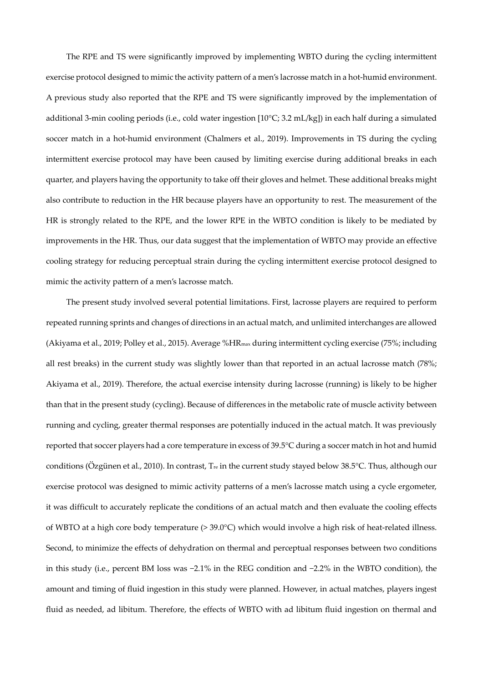The RPE and TS were significantly improved by implementing WBTO during the cycling intermittent exercise protocol designed to mimic the activity pattern of a men's lacrosse match in a hot-humid environment. A previous study also reported that the RPE and TS were significantly improved by the implementation of additional 3-min cooling periods (i.e., cold water ingestion [10°C; 3.2 mL/kg]) in each half during a simulated soccer match in a hot-humid environment (Chalmers et al., 2019). Improvements in TS during the cycling intermittent exercise protocol may have been caused by limiting exercise during additional breaks in each quarter, and players having the opportunity to take off their gloves and helmet. These additional breaks might also contribute to reduction in the HR because players have an opportunity to rest. The measurement of the HR is strongly related to the RPE, and the lower RPE in the WBTO condition is likely to be mediated by improvements in the HR. Thus, our data suggest that the implementation of WBTO may provide an effective cooling strategy for reducing perceptual strain during the cycling intermittent exercise protocol designed to mimic the activity pattern of a men's lacrosse match.

The present study involved several potential limitations. First, lacrosse players are required to perform repeated running sprints and changes of directions in an actual match, and unlimited interchanges are allowed (Akiyama et al., 2019; Polley et al., 2015). Average %HRmax during intermittent cycling exercise (75%; including all rest breaks) in the current study was slightly lower than that reported in an actual lacrosse match (78%; Akiyama et al., 2019). Therefore, the actual exercise intensity during lacrosse (running) is likely to be higher than that in the present study (cycling). Because of differences in the metabolic rate of muscle activity between running and cycling, greater thermal responses are potentially induced in the actual match. It was previously reported that soccer players had a core temperature in excess of 39.5°C during a soccer match in hot and humid conditions (Özgünen et al., 2010). In contrast,  $T_{re}$  in the current study stayed below 38.5°C. Thus, although our exercise protocol was designed to mimic activity patterns of a men's lacrosse match using a cycle ergometer, it was difficult to accurately replicate the conditions of an actual match and then evaluate the cooling effects of WBTO at a high core body temperature (> 39.0°C) which would involve a high risk of heat-related illness. Second, to minimize the effects of dehydration on thermal and perceptual responses between two conditions in this study (i.e., percent BM loss was −2.1% in the REG condition and −2.2% in the WBTO condition), the amount and timing of fluid ingestion in this study were planned. However, in actual matches, players ingest fluid as needed, ad libitum. Therefore, the effects of WBTO with ad libitum fluid ingestion on thermal and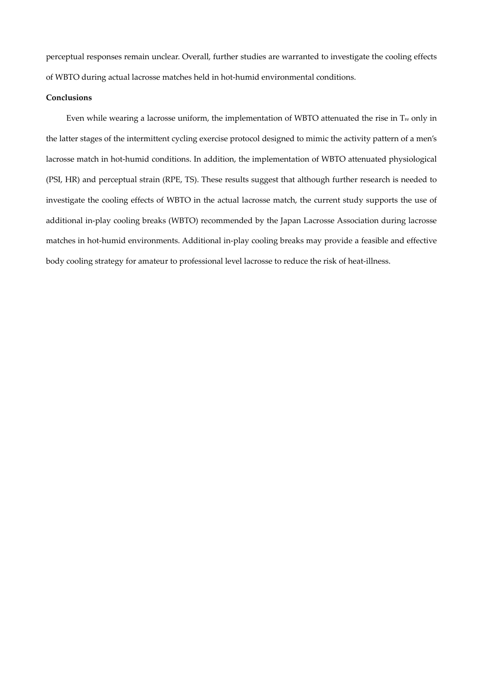perceptual responses remain unclear. Overall, further studies are warranted to investigate the cooling effects of WBTO during actual lacrosse matches held in hot-humid environmental conditions.

### **Conclusions**

Even while wearing a lacrosse uniform, the implementation of WBTO attenuated the rise in Tre only in the latter stages of the intermittent cycling exercise protocol designed to mimic the activity pattern of a men's lacrosse match in hot-humid conditions. In addition, the implementation of WBTO attenuated physiological (PSI, HR) and perceptual strain (RPE, TS). These results suggest that although further research is needed to investigate the cooling effects of WBTO in the actual lacrosse match, the current study supports the use of additional in-play cooling breaks (WBTO) recommended by the Japan Lacrosse Association during lacrosse matches in hot-humid environments. Additional in-play cooling breaks may provide a feasible and effective body cooling strategy for amateur to professional level lacrosse to reduce the risk of heat-illness.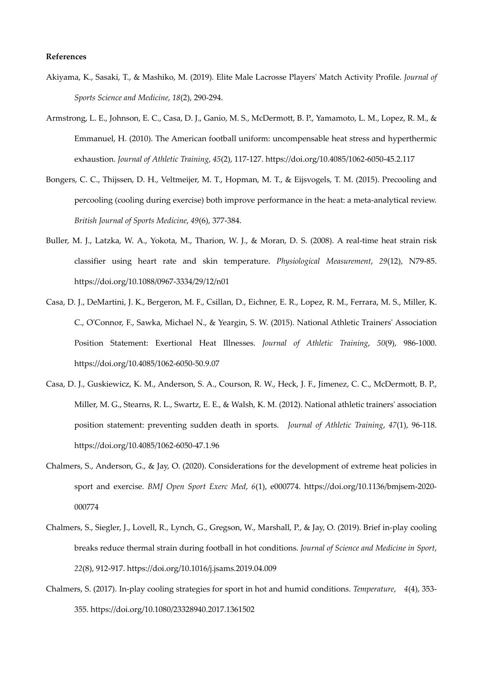#### **References**

- Akiyama, K., Sasaki, T., & Mashiko, M. (2019). Elite Male Lacrosse Players' Match Activity Profile. *Journal of Sports Science and Medicine*, *18*(2), 290-294.
- Armstrong, L. E., Johnson, E. C., Casa, D. J., Ganio, M. S., McDermott, B. P., Yamamoto, L. M., Lopez, R. M., & Emmanuel, H. (2010). The American football uniform: uncompensable heat stress and hyperthermic exhaustion. *Journal of Athletic Training*, *45*(2), 117-127. https://doi.org/10.4085/1062-6050-45.2.117
- Bongers, C. C., Thijssen, D. H., Veltmeijer, M. T., Hopman, M. T., & Eijsvogels, T. M. (2015). Precooling and percooling (cooling during exercise) both improve performance in the heat: a meta-analytical review. *British Journal of Sports Medicine*, *49*(6), 377-384.
- Buller, M. J., Latzka, W. A., Yokota, M., Tharion, W. J., & Moran, D. S. (2008). A real-time heat strain risk classifier using heart rate and skin temperature. *Physiological Measurement*, *29*(12), N79-85. https://doi.org/10.1088/0967-3334/29/12/n01
- Casa, D. J., DeMartini, J. K., Bergeron, M. F., Csillan, D., Eichner, E. R., Lopez, R. M., Ferrara, M. S., Miller, K. C., O'Connor, F., Sawka, Michael N., & Yeargin, S. W. (2015). National Athletic Trainers' Association Position Statement: Exertional Heat Illnesses. *Journal of Athletic Training*, *50*(9), 986-1000. https://doi.org/10.4085/1062-6050-50.9.07
- Casa, D. J., Guskiewicz, K. M., Anderson, S. A., Courson, R. W., Heck, J. F., Jimenez, C. C., McDermott, B. P., Miller, M. G., Stearns, R. L., Swartz, E. E., & Walsh, K. M. (2012). National athletic trainers' association position statement: preventing sudden death in sports. *Journal of Athletic Training*, *47*(1), 96-118. https://doi.org/10.4085/1062-6050-47.1.96
- Chalmers, S., Anderson, G., & Jay, O. (2020). Considerations for the development of extreme heat policies in sport and exercise. *BMJ Open Sport Exerc Med*, *6*(1), e000774. https://doi.org/10.1136/bmjsem-2020- 000774
- Chalmers, S., Siegler, J., Lovell, R., Lynch, G., Gregson, W., Marshall, P., & Jay, O. (2019). Brief in-play cooling breaks reduce thermal strain during football in hot conditions. *Journal of Science and Medicine in Sport*, *22*(8), 912-917. https://doi.org/10.1016/j.jsams.2019.04.009
- Chalmers, S. (2017). In-play cooling strategies for sport in hot and humid conditions. *Temperature*, *4*(4), 353- 355. https://doi.org/10.1080/23328940.2017.1361502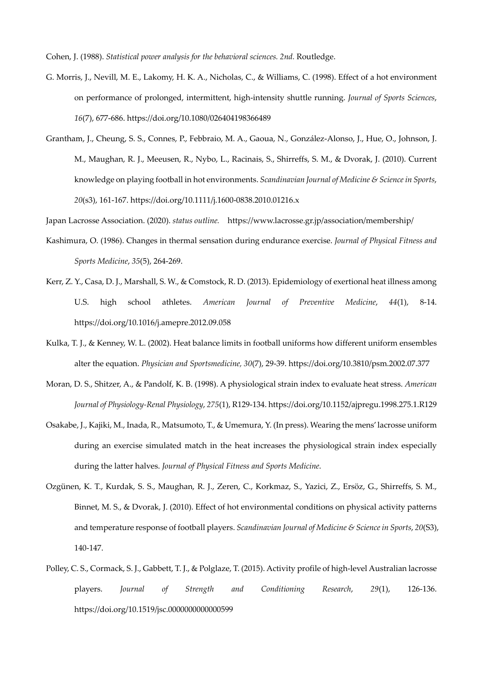Cohen, J. (1988). *Statistical power analysis for the behavioral sciences. 2nd.* Routledge.

- G. Morris, J., Nevill, M. E., Lakomy, H. K. A., Nicholas, C., & Williams, C. (1998). Effect of a hot environment on performance of prolonged, intermittent, high-intensity shuttle running. *Journal of Sports Sciences*, *16*(7), 677-686. https://doi.org/10.1080/026404198366489
- Grantham, J., Cheung, S. S., Connes, P., Febbraio, M. A., Gaoua, N., González-Alonso, J., Hue, O., Johnson, J. M., Maughan, R. J., Meeusen, R., Nybo, L., Racinais, S., Shirreffs, S. M., & Dvorak, J. (2010). Current knowledge on playing football in hot environments. *Scandinavian Journal of Medicine & Science in Sports*, *20*(s3), 161-167. https://doi.org/10.1111/j.1600-0838.2010.01216.x

Japan Lacrosse Association. (2020). *status outline.* https://www.lacrosse.gr.jp/association/membership/

- Kashimura, O. (1986). Changes in thermal sensation during endurance exercise. *Journal of Physical Fitness and Sports Medicine*, *35*(5), 264-269.
- Kerr, Z. Y., Casa, D. J., Marshall, S. W., & Comstock, R. D. (2013). Epidemiology of exertional heat illness among U.S. high school athletes. *American Journal of Preventive Medicine*, *44*(1), 8-14. https://doi.org/10.1016/j.amepre.2012.09.058
- Kulka, T. J., & Kenney, W. L. (2002). Heat balance limits in football uniforms how different uniform ensembles alter the equation. *Physician and Sportsmedicine, 30*(7), 29-39. https://doi.org/10.3810/psm.2002.07.377
- Moran, D. S., Shitzer, A., & Pandolf, K. B. (1998). A physiological strain index to evaluate heat stress. *American Journal of Physiology-Renal Physiology*, *275*(1), R129-134. https://doi.org/10.1152/ajpregu.1998.275.1.R129
- Osakabe, J., Kajiki, M., Inada, R., Matsumoto, T., & Umemura, Y. (In press). Wearing the mens' lacrosse uniform during an exercise simulated match in the heat increases the physiological strain index especially during the latter halves. *Journal of Physical Fitness and Sports Medicine*.
- Ozgünen, K. T., Kurdak, S. S., Maughan, R. J., Zeren, C., Korkmaz, S., Yazici, Z., Ersöz, G., Shirreffs, S. M., Binnet, M. S., & Dvorak, J. (2010). Effect of hot environmental conditions on physical activity patterns and temperature response of football players. *Scandinavian Journal of Medicine & Science in Sports*, *20*(S3), 140-147.
- Polley, C. S., Cormack, S. J., Gabbett, T. J., & Polglaze, T. (2015). Activity profile of high-level Australian lacrosse players. *Journal of Strength and Conditioning Research*, *29*(1), 126-136. https://doi.org/10.1519/jsc.0000000000000599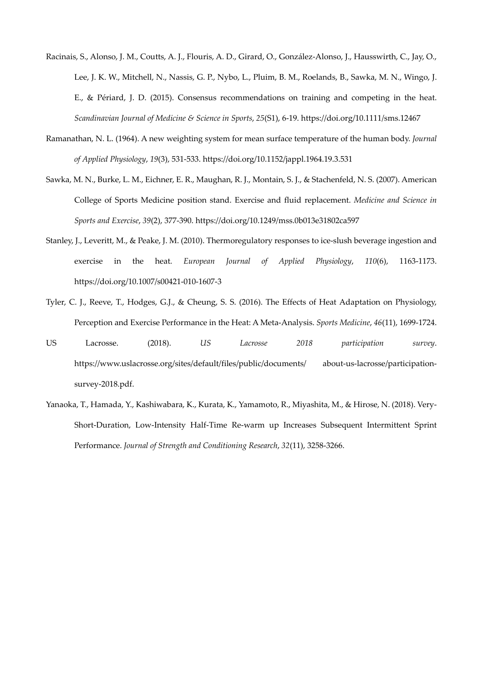- Racinais, S., Alonso, J. M., Coutts, A. J., Flouris, A. D., Girard, O., González-Alonso, J., Hausswirth, C., Jay, O., Lee, J. K. W., Mitchell, N., Nassis, G. P., Nybo, L., Pluim, B. M., Roelands, B., Sawka, M. N., Wingo, J. E., & Périard, J. D. (2015). Consensus recommendations on training and competing in the heat. *Scandinavian Journal of Medicine & Science in Sports*, *25*(S1), 6-19. https://doi.org/10.1111/sms.12467
- Ramanathan, N. L. (1964). A new weighting system for mean surface temperature of the human body. *Journal of Applied Physiology*, *19*(3), 531-533. https://doi.org/10.1152/jappl.1964.19.3.531
- Sawka, M. N., Burke, L. M., Eichner, E. R., Maughan, R. J., Montain, S. J., & Stachenfeld, N. S. (2007). American College of Sports Medicine position stand. Exercise and fluid replacement. *Medicine and Science in Sports and Exercise*, *39*(2), 377-390. https://doi.org/10.1249/mss.0b013e31802ca597
- Stanley, J., Leveritt, M., & Peake, J. M. (2010). Thermoregulatory responses to ice-slush beverage ingestion and exercise in the heat. *European Journal of Applied Physiology*, *110*(6), 1163-1173. https://doi.org/10.1007/s00421-010-1607-3
- Tyler, C. J., Reeve, T., Hodges, G.J., & Cheung, S. S. (2016). The Effects of Heat Adaptation on Physiology, Perception and Exercise Performance in the Heat: A Meta-Analysis. *Sports Medicine*, *46*(11), 1699-1724.
- US Lacrosse. (2018). *US Lacrosse 2018 participation survey*. https://www.uslacrosse.org/sites/default/files/public/documents/ about-us-lacrosse/participationsurvey-2018.pdf.
- Yanaoka, T., Hamada, Y., Kashiwabara, K., Kurata, K., Yamamoto, R., Miyashita, M., & Hirose, N. (2018). Very-Short-Duration, Low-Intensity Half-Time Re-warm up Increases Subsequent Intermittent Sprint Performance. *Journal of Strength and Conditioning Research*, *32*(11), 3258-3266.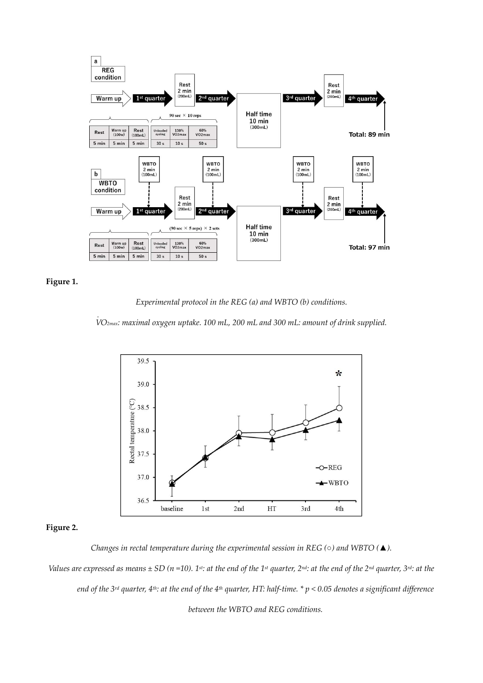



.

*Experimental protocol in the REG (a) and WBTO (b) conditions.* 

*V O2max: maximal oxygen uptake. 100 mL, 200 mL and 300 mL: amount of drink supplied.* 



# **Figure 2.**

*Changes in rectal temperature during the experimental session in REG (○) and WBTO (▲).* 

*Values are expressed as means*  $\pm$  SD ( $n$  =10). 1<sup>st</sup>: at the end of the 1<sup>st</sup> quarter, 2<sup>nd</sup>: at the end of the 2<sup>nd</sup> quarter, 3<sup>rd</sup>: at the *end of the 3rd quarter, 4th: at the end of the 4th quarter, HT: half-time. \* p < 0.05 denotes a significant difference between the WBTO and REG conditions.*